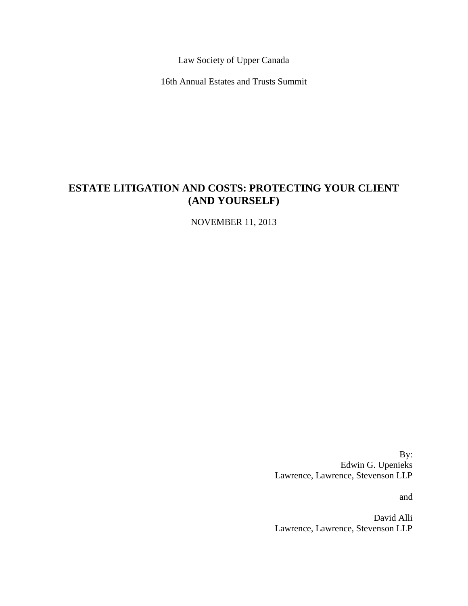Law Society of Upper Canada

16th Annual Estates and Trusts Summit

# **ESTATE LITIGATION AND COSTS: PROTECTING YOUR CLIENT (AND YOURSELF)**

NOVEMBER 11, 2013

By: Edwin G. Upenieks Lawrence, Lawrence, Stevenson LLP

and

David Alli Lawrence, Lawrence, Stevenson LLP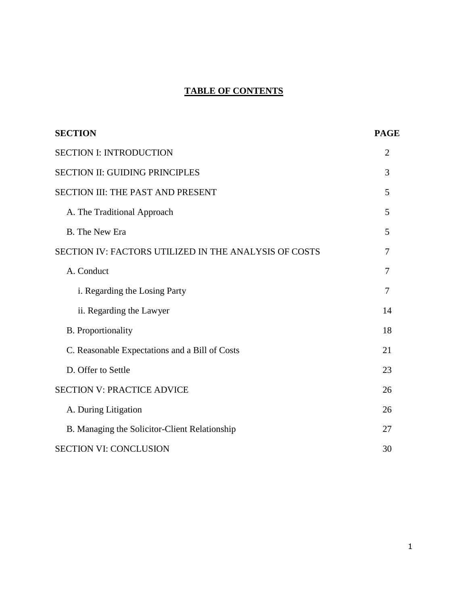# **TABLE OF CONTENTS**

| <b>SECTION</b>                                        | <b>PAGE</b>    |
|-------------------------------------------------------|----------------|
| <b>SECTION I: INTRODUCTION</b>                        | $\overline{2}$ |
| <b>SECTION II: GUIDING PRINCIPLES</b>                 | 3              |
| SECTION III: THE PAST AND PRESENT                     | 5              |
| A. The Traditional Approach                           | 5              |
| <b>B.</b> The New Era                                 | 5              |
| SECTION IV: FACTORS UTILIZED IN THE ANALYSIS OF COSTS | 7              |
| A. Conduct                                            | 7              |
| i. Regarding the Losing Party                         | 7              |
| ii. Regarding the Lawyer                              | 14             |
| <b>B.</b> Proportionality                             | 18             |
| C. Reasonable Expectations and a Bill of Costs        | 21             |
| D. Offer to Settle                                    | 23             |
| <b>SECTION V: PRACTICE ADVICE</b>                     | 26             |
| A. During Litigation                                  | 26             |
| B. Managing the Solicitor-Client Relationship         | 27             |
| <b>SECTION VI: CONCLUSION</b>                         | 30             |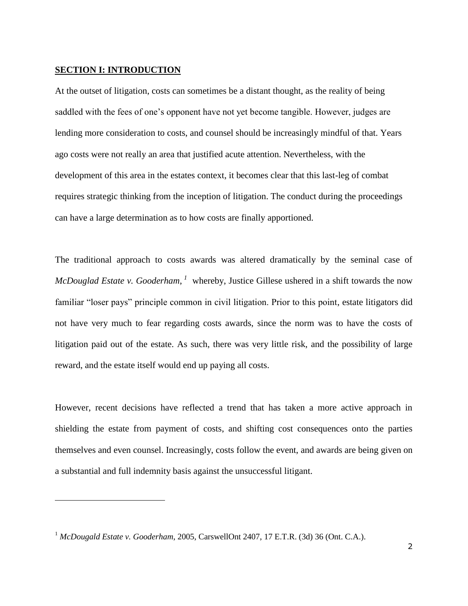## **SECTION I: INTRODUCTION**

-

At the outset of litigation, costs can sometimes be a distant thought, as the reality of being saddled with the fees of one's opponent have not yet become tangible. However, judges are lending more consideration to costs, and counsel should be increasingly mindful of that. Years ago costs were not really an area that justified acute attention. Nevertheless, with the development of this area in the estates context, it becomes clear that this last-leg of combat requires strategic thinking from the inception of litigation. The conduct during the proceedings can have a large determination as to how costs are finally apportioned.

The traditional approach to costs awards was altered dramatically by the seminal case of *McDouglad Estate v. Gooderham*, <sup>*1*</sup> whereby, Justice Gillese ushered in a shift towards the now familiar "loser pays" principle common in civil litigation. Prior to this point, estate litigators did not have very much to fear regarding costs awards, since the norm was to have the costs of litigation paid out of the estate. As such, there was very little risk, and the possibility of large reward, and the estate itself would end up paying all costs.

However, recent decisions have reflected a trend that has taken a more active approach in shielding the estate from payment of costs, and shifting cost consequences onto the parties themselves and even counsel. Increasingly, costs follow the event, and awards are being given on a substantial and full indemnity basis against the unsuccessful litigant.

<sup>1</sup> *McDougald Estate v. Gooderham*, 2005, CarswellOnt 2407, 17 E.T.R. (3d) 36 (Ont. C.A.).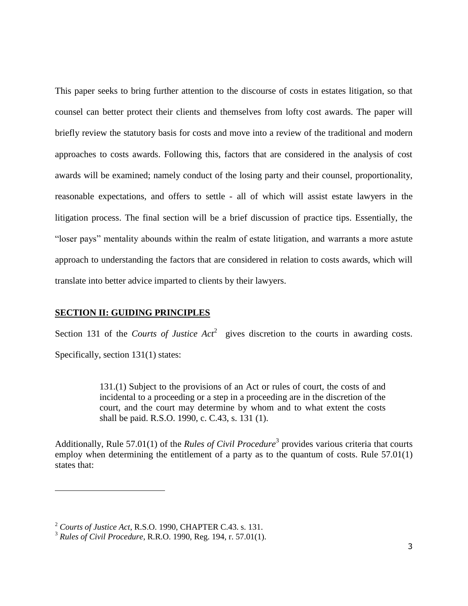This paper seeks to bring further attention to the discourse of costs in estates litigation, so that counsel can better protect their clients and themselves from lofty cost awards. The paper will briefly review the statutory basis for costs and move into a review of the traditional and modern approaches to costs awards. Following this, factors that are considered in the analysis of cost awards will be examined; namely conduct of the losing party and their counsel, proportionality, reasonable expectations, and offers to settle - all of which will assist estate lawyers in the litigation process. The final section will be a brief discussion of practice tips. Essentially, the "loser pays" mentality abounds within the realm of estate litigation, and warrants a more astute approach to understanding the factors that are considered in relation to costs awards, which will translate into better advice imparted to clients by their lawyers.

## **SECTION II: GUIDING PRINCIPLES**

Section 131 of the *Courts of Justice Act*<sup>2</sup> gives discretion to the courts in awarding costs. Specifically, section 131(1) states:

> 131.(1) Subject to the provisions of an Act or rules of court, the costs of and incidental to a proceeding or a step in a proceeding are in the discretion of the court, and the court may determine by whom and to what extent the costs shall be paid. R.S.O. 1990, c. C.43, s. 131 (1).

Additionally, Rule 57.01(1) of the *Rules of Civil Procedure*<sup>3</sup> provides various criteria that courts employ when determining the entitlement of a party as to the quantum of costs. Rule 57.01(1) states that:

<sup>2</sup> *Courts of Justice Act*, R.S.O. 1990, CHAPTER C.43. s. 131.

<sup>3</sup> *Rules of Civil Procedure*, R.R.O. 1990, Reg. 194, r. 57.01(1).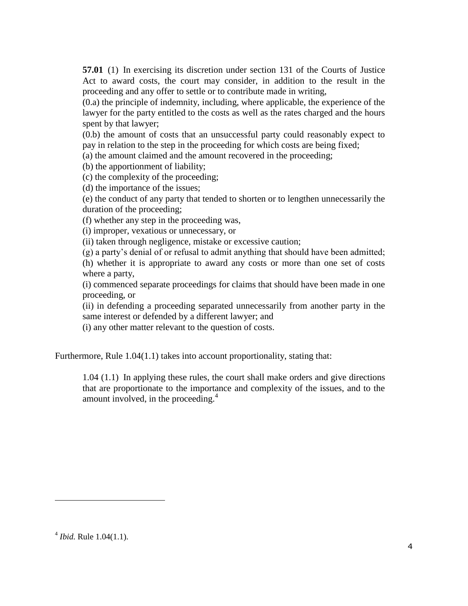**57.01** (1) In exercising its discretion under section 131 of the Courts of Justice Act to award costs, the court may consider, in addition to the result in the proceeding and any offer to settle or to contribute made in writing,

(0.a) the principle of indemnity, including, where applicable, the experience of the lawyer for the party entitled to the costs as well as the rates charged and the hours spent by that lawyer;

(0.b) the amount of costs that an unsuccessful party could reasonably expect to pay in relation to the step in the proceeding for which costs are being fixed;

(a) the amount claimed and the amount recovered in the proceeding;

(b) the apportionment of liability;

(c) the complexity of the proceeding;

(d) the importance of the issues;

(e) the conduct of any party that tended to shorten or to lengthen unnecessarily the duration of the proceeding;

(f) whether any step in the proceeding was,

(i) improper, vexatious or unnecessary, or

(ii) taken through negligence, mistake or excessive caution;

(g) a party's denial of or refusal to admit anything that should have been admitted;

(h) whether it is appropriate to award any costs or more than one set of costs where a party,

(i) commenced separate proceedings for claims that should have been made in one proceeding, or

(ii) in defending a proceeding separated unnecessarily from another party in the same interest or defended by a different lawyer; and

(i) any other matter relevant to the question of costs.

Furthermore, Rule 1.04(1.1) takes into account proportionality, stating that:

1.04 (1.1) In applying these rules, the court shall make orders and give directions that are proportionate to the importance and complexity of the issues, and to the amount involved, in the proceeding.<sup>4</sup>

<sup>4</sup> *Ibid.* Rule 1.04(1.1).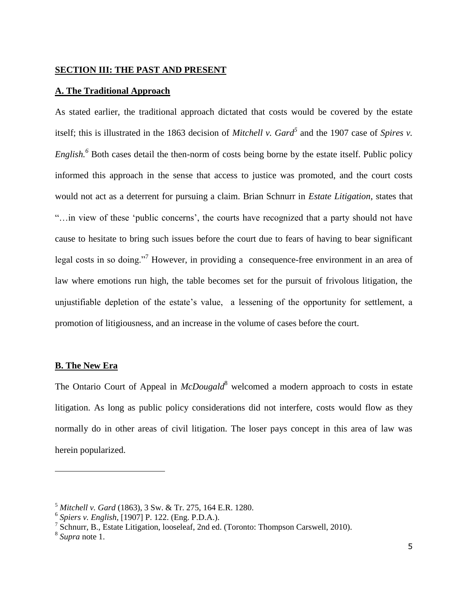## **SECTION III: THE PAST AND PRESENT**

#### **A. The Traditional Approach**

As stated earlier, the traditional approach dictated that costs would be covered by the estate itself; this is illustrated in the 1863 decision of *Mitchell v. Gard<sup>5</sup>* and the 1907 case of *Spires v. English.<sup>6</sup>* Both cases detail the then-norm of costs being borne by the estate itself. Public policy informed this approach in the sense that access to justice was promoted, and the court costs would not act as a deterrent for pursuing a claim. Brian Schnurr in *Estate Litigation*, states that "…in view of these 'public concerns', the courts have recognized that a party should not have cause to hesitate to bring such issues before the court due to fears of having to bear significant legal costs in so doing."<sup>7</sup> However, in providing a consequence-free environment in an area of law where emotions run high, the table becomes set for the pursuit of frivolous litigation, the unjustifiable depletion of the estate's value, a lessening of the opportunity for settlement, a promotion of litigiousness, and an increase in the volume of cases before the court.

## **B. The New Era**

The Ontario Court of Appeal in *McDougald*<sup>8</sup> welcomed a modern approach to costs in estate litigation. As long as public policy considerations did not interfere, costs would flow as they normally do in other areas of civil litigation. The loser pays concept in this area of law was herein popularized.

<sup>5</sup> *Mitchell v. Gard* (1863), 3 Sw. & Tr. 275, 164 E.R. 1280.

<sup>6</sup> *Spiers v. English*, [1907] P. 122. (Eng. P.D.A.).

<sup>&</sup>lt;sup>7</sup> Schnurr, B., Estate Litigation, looseleaf, 2nd ed. (Toronto: Thompson Carswell, 2010).

<sup>8</sup> *Supra* note 1.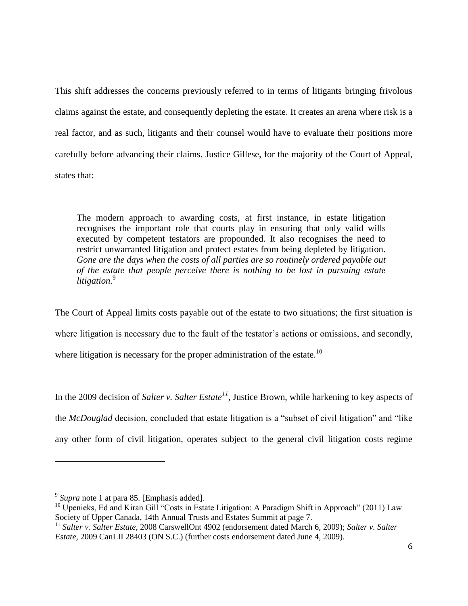This shift addresses the concerns previously referred to in terms of litigants bringing frivolous claims against the estate, and consequently depleting the estate. It creates an arena where risk is a real factor, and as such, litigants and their counsel would have to evaluate their positions more carefully before advancing their claims. Justice Gillese, for the majority of the Court of Appeal, states that:

The modern approach to awarding costs, at first instance, in estate litigation recognises the important role that courts play in ensuring that only valid wills executed by competent testators are propounded. It also recognises the need to restrict unwarranted litigation and protect estates from being depleted by litigation. *Gone are the days when the costs of all parties are so routinely ordered payable out of the estate that people perceive there is nothing to be lost in pursuing estate litigation.*<sup>9</sup>

The Court of Appeal limits costs payable out of the estate to two situations; the first situation is where litigation is necessary due to the fault of the testator's actions or omissions, and secondly, where litigation is necessary for the proper administration of the estate.<sup>10</sup>

In the 2009 decision of *Salter v. Salter Estate<sup>11</sup>*, Justice Brown, while harkening to key aspects of the *McDouglad* decision, concluded that estate litigation is a "subset of civil litigation" and "like any other form of civil litigation, operates subject to the general civil litigation costs regime

<sup>&</sup>lt;sup>9</sup> Supra note 1 at para 85. [Emphasis added].

 $10$  Upenieks, Ed and Kiran Gill "Costs in Estate Litigation: A Paradigm Shift in Approach" (2011) Law Society of Upper Canada, 14th Annual Trusts and Estates Summit at page 7.

<sup>11</sup> *Salter v. Salter Estate*, 2008 CarswellOnt 4902 (endorsement dated March 6, 2009); *Salter v. Salter Estate*, 2009 CanLII 28403 (ON S.C.) (further costs endorsement dated June 4, 2009).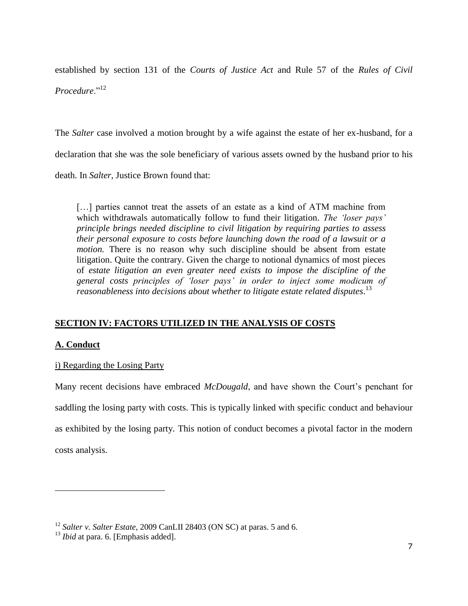established by section 131 of the *Courts of Justice Act* and Rule 57 of the *Rules of Civil Procedure*."<sup>12</sup>

The *Salter* case involved a motion brought by a wife against the estate of her ex-husband, for a declaration that she was the sole beneficiary of various assets owned by the husband prior to his death. In *Salter*, Justice Brown found that:

[...] parties cannot treat the assets of an estate as a kind of ATM machine from which withdrawals automatically follow to fund their litigation. *The 'loser pays' principle brings needed discipline to civil litigation by requiring parties to assess their personal exposure to costs before launching down the road of a lawsuit or a motion.* There is no reason why such discipline should be absent from estate litigation. Quite the contrary. Given the charge to notional dynamics of most pieces of *estate litigation an even greater need exists to impose the discipline of the general costs principles of 'loser pays' in order to inject some modicum of reasonableness into decisions about whether to litigate estate related disputes*. 13

# **SECTION IV: FACTORS UTILIZED IN THE ANALYSIS OF COSTS**

# **A. Conduct**

# i) Regarding the Losing Party

Many recent decisions have embraced *McDougald*, and have shown the Court's penchant for saddling the losing party with costs. This is typically linked with specific conduct and behaviour as exhibited by the losing party. This notion of conduct becomes a pivotal factor in the modern costs analysis.

<sup>&</sup>lt;sup>12</sup> *Salter v. Salter Estate*, 2009 CanLII 28403 (ON SC) at paras. 5 and 6.

<sup>&</sup>lt;sup>13</sup> *Ibid* at para. 6. [Emphasis added].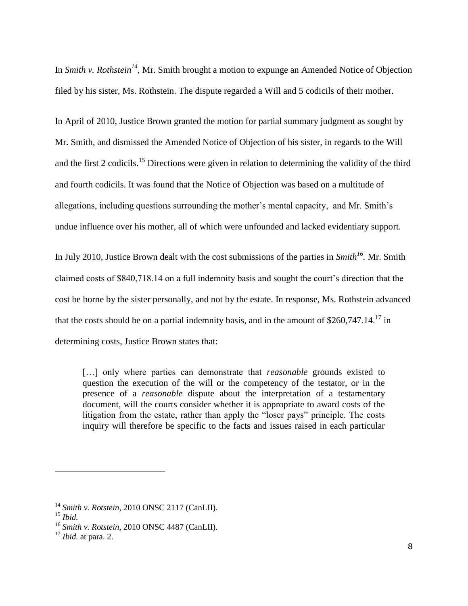In *Smith v. Rothstein<sup>14</sup>*, Mr. Smith brought a motion to expunge an Amended Notice of Objection filed by his sister, Ms. Rothstein. The dispute regarded a Will and 5 codicils of their mother.

In April of 2010, Justice Brown granted the motion for partial summary judgment as sought by Mr. Smith, and dismissed the Amended Notice of Objection of his sister, in regards to the Will and the first 2 codicils.<sup>15</sup> Directions were given in relation to determining the validity of the third and fourth codicils. It was found that the Notice of Objection was based on a multitude of allegations, including questions surrounding the mother's mental capacity, and Mr. Smith's undue influence over his mother, all of which were unfounded and lacked evidentiary support.

In July 2010, Justice Brown dealt with the cost submissions of the parties in *Smith<sup>16</sup> .* Mr. Smith claimed costs of \$840,718.14 on a full indemnity basis and sought the court's direction that the cost be borne by the sister personally, and not by the estate. In response, Ms. Rothstein advanced that the costs should be on a partial indemnity basis, and in the amount of  $$260,747.14.<sup>17</sup>$  in determining costs, Justice Brown states that:

[…] only where parties can demonstrate that *reasonable* grounds existed to question the execution of the will or the competency of the testator, or in the presence of a *reasonable* dispute about the interpretation of a testamentary document, will the courts consider whether it is appropriate to award costs of the litigation from the estate, rather than apply the "loser pays" principle. The costs inquiry will therefore be specific to the facts and issues raised in each particular

<sup>14</sup> *Smith v. Rotstein*, 2010 ONSC 2117 (CanLII).

<sup>15</sup> *Ibid.*

<sup>16</sup> *Smith v. Rotstein*, 2010 ONSC 4487 (CanLII).

<sup>17</sup> *Ibid.* at para. 2.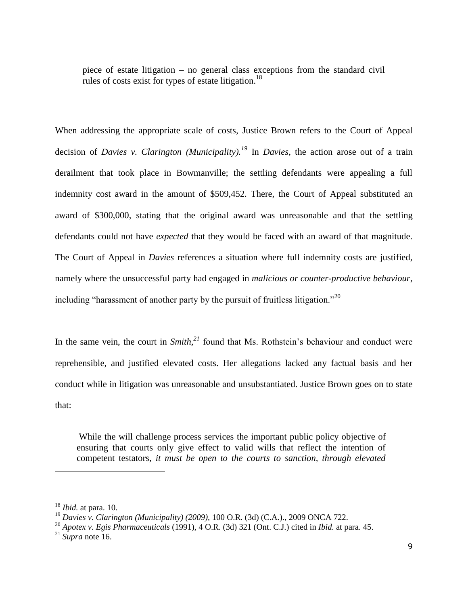piece of estate litigation – no general class exceptions from the standard civil rules of costs exist for types of estate litigation.<sup>18</sup>

When addressing the appropriate scale of costs, Justice Brown refers to the Court of Appeal decision of *Davies v. Clarington (Municipality). <sup>19</sup>* In *Davies*, the action arose out of a train derailment that took place in Bowmanville; the settling defendants were appealing a full indemnity cost award in the amount of \$509,452. There, the Court of Appeal substituted an award of \$300,000, stating that the original award was unreasonable and that the settling defendants could not have *expected* that they would be faced with an award of that magnitude. The Court of Appeal in *Davies* references a situation where full indemnity costs are justified, namely where the unsuccessful party had engaged in *malicious or counter-productive behaviour*, including "harassment of another party by the pursuit of fruitless litigation."<sup>20</sup>

In the same vein, the court in *Smith,<sup>21</sup>* found that Ms. Rothstein's behaviour and conduct were reprehensible, and justified elevated costs. Her allegations lacked any factual basis and her conduct while in litigation was unreasonable and unsubstantiated. Justice Brown goes on to state that:

While the will challenge process services the important public policy objective of ensuring that courts only give effect to valid wills that reflect the intention of competent testators, *it must be open to the courts to sanction, through elevated* 

<sup>18</sup> *Ibid.* at para. 10.

<sup>19</sup> *Davies v. Clarington (Municipality) (2009),* 100 O.R. (3d) (C.A.)., 2009 ONCA 722.

<sup>20</sup> *Apotex v. Egis Pharmaceuticals* (1991), 4 O.R. (3d) 321 (Ont. C.J.) cited in *Ibid.* at para. 45.

<sup>21</sup> *Supra* note 16.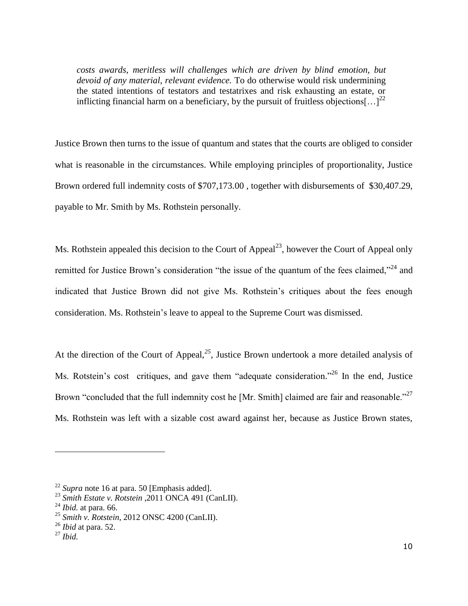*costs awards, meritless will challenges which are driven by blind emotion, but devoid of any material, relevant evidence.* To do otherwise would risk undermining the stated intentions of testators and testatrixes and risk exhausting an estate, or inflicting financial harm on a beneficiary, by the pursuit of fruitless objections  $\left[ \ldots \right]^{22}$ 

Justice Brown then turns to the issue of quantum and states that the courts are obliged to consider what is reasonable in the circumstances. While employing principles of proportionality, Justice Brown ordered full indemnity costs of \$707,173.00 , together with disbursements of \$30,407.29, payable to Mr. Smith by Ms. Rothstein personally.

Ms. Rothstein appealed this decision to the Court of Appeal<sup>23</sup>, however the Court of Appeal only remitted for Justice Brown's consideration "the issue of the quantum of the fees claimed,"<sup>24</sup> and indicated that Justice Brown did not give Ms. Rothstein's critiques about the fees enough consideration. Ms. Rothstein's leave to appeal to the Supreme Court was dismissed.

At the direction of the Court of Appeal,<sup>25</sup>, Justice Brown undertook a more detailed analysis of Ms. Rotstein's cost critiques, and gave them "adequate consideration."<sup>26</sup> In the end, Justice Brown "concluded that the full indemnity cost he [Mr. Smith] claimed are fair and reasonable."<sup>27</sup> Ms. Rothstein was left with a sizable cost award against her, because as Justice Brown states,

<sup>22</sup> *Supra* note 16 at para. 50 [Emphasis added].

<sup>23</sup> *Smith Estate v. Rotstein* ,2011 ONCA 491 (CanLII).

<sup>24</sup> *Ibid.* at para. 66.

<sup>25</sup> *Smith v. Rotstein*, 2012 ONSC 4200 (CanLII).

<sup>26</sup> *Ibid* at para. 52.

<sup>27</sup> *Ibid.*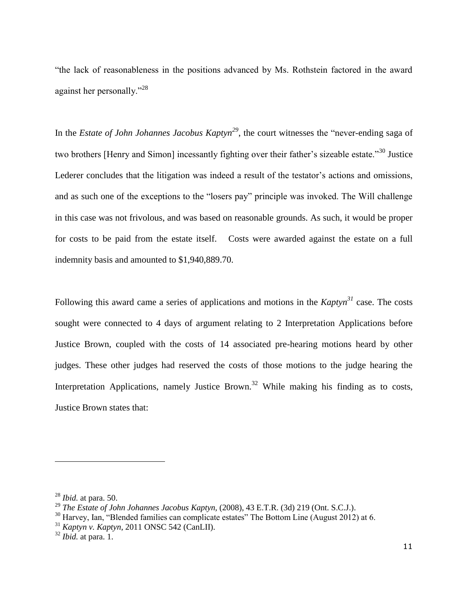"the lack of reasonableness in the positions advanced by Ms. Rothstein factored in the award against her personally."<sup>28</sup>

In the *Estate of John Johannes Jacobus Kaptyn<sup>29</sup>* , the court witnesses the "never-ending saga of two brothers [Henry and Simon] incessantly fighting over their father's sizeable estate."<sup>30</sup> Justice Lederer concludes that the litigation was indeed a result of the testator's actions and omissions, and as such one of the exceptions to the "losers pay" principle was invoked. The Will challenge in this case was not frivolous, and was based on reasonable grounds. As such, it would be proper for costs to be paid from the estate itself. Costs were awarded against the estate on a full indemnity basis and amounted to \$1,940,889.70.

Following this award came a series of applications and motions in the *Kaptyn<sup>31</sup>* case. The costs sought were connected to 4 days of argument relating to 2 Interpretation Applications before Justice Brown, coupled with the costs of 14 associated pre-hearing motions heard by other judges. These other judges had reserved the costs of those motions to the judge hearing the Interpretation Applications, namely Justice Brown.<sup>32</sup> While making his finding as to costs, Justice Brown states that:

<sup>28</sup> *Ibid.* at para. 50.

<sup>29</sup> *The Estate of John Johannes Jacobus Kaptyn,* (2008), 43 E.T.R. (3d) 219 (Ont. S.C.J.).

 $30$  Harvey, Ian, "Blended families can complicate estates" The Bottom Line (August 2012) at 6.

<sup>31</sup> *Kaptyn v. Kaptyn*, 2011 ONSC 542 (CanLII).

<sup>32</sup> *Ibid.* at para. 1.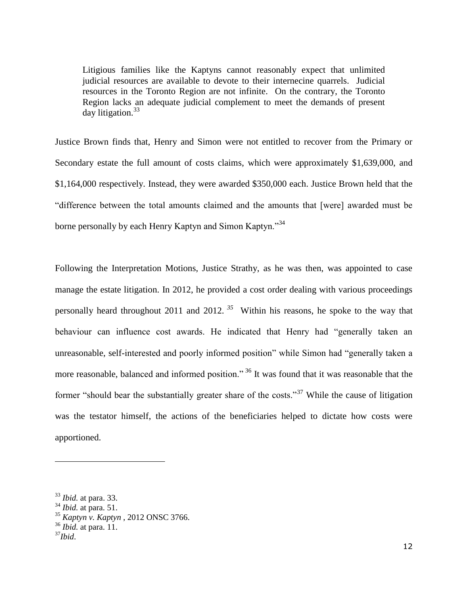Litigious families like the Kaptyns cannot reasonably expect that unlimited judicial resources are available to devote to their internecine quarrels. Judicial resources in the Toronto Region are not infinite. On the contrary, the Toronto Region lacks an adequate judicial complement to meet the demands of present day litigation.<sup>33</sup>

Justice Brown finds that, Henry and Simon were not entitled to recover from the Primary or Secondary estate the full amount of costs claims, which were approximately \$1,639,000, and \$1,164,000 respectively. Instead, they were awarded \$350,000 each. Justice Brown held that the "difference between the total amounts claimed and the amounts that [were] awarded must be borne personally by each Henry Kaptyn and Simon Kaptyn."<sup>34</sup>

Following the Interpretation Motions, Justice Strathy, as he was then, was appointed to case manage the estate litigation. In 2012, he provided a cost order dealing with various proceedings personally heard throughout 2011 and 2012. *<sup>35</sup>* Within his reasons, he spoke to the way that behaviour can influence cost awards. He indicated that Henry had "generally taken an unreasonable, self-interested and poorly informed position" while Simon had "generally taken a more reasonable, balanced and informed position."<sup>36</sup> It was found that it was reasonable that the former "should bear the substantially greater share of the costs."<sup>37</sup> While the cause of litigation was the testator himself, the actions of the beneficiaries helped to dictate how costs were apportioned.

<sup>33</sup> *Ibid.* at para. 33.

<sup>34</sup> *Ibid.* at para. 51.

<sup>35</sup> *Kaptyn v. Kaptyn* , 2012 ONSC 3766.

<sup>36</sup> *Ibid.* at para. 11.

<sup>37</sup>*Ibid*.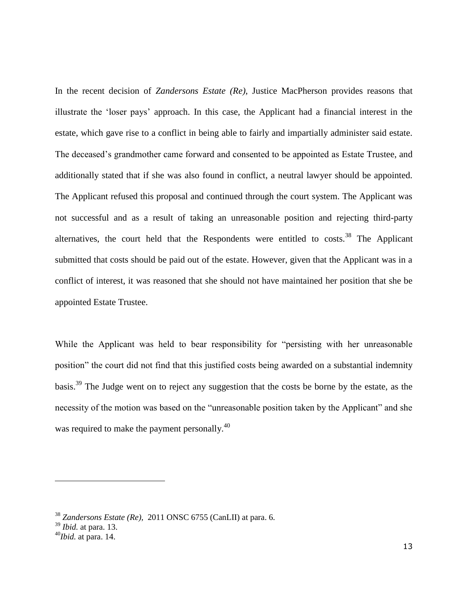In the recent decision of *Zandersons Estate (Re)*, Justice MacPherson provides reasons that illustrate the 'loser pays' approach. In this case, the Applicant had a financial interest in the estate, which gave rise to a conflict in being able to fairly and impartially administer said estate. The deceased's grandmother came forward and consented to be appointed as Estate Trustee, and additionally stated that if she was also found in conflict, a neutral lawyer should be appointed. The Applicant refused this proposal and continued through the court system. The Applicant was not successful and as a result of taking an unreasonable position and rejecting third-party alternatives, the court held that the Respondents were entitled to costs.<sup>38</sup> The Applicant submitted that costs should be paid out of the estate. However, given that the Applicant was in a conflict of interest, it was reasoned that she should not have maintained her position that she be appointed Estate Trustee.

While the Applicant was held to bear responsibility for "persisting with her unreasonable position" the court did not find that this justified costs being awarded on a substantial indemnity basis.<sup>39</sup> The Judge went on to reject any suggestion that the costs be borne by the estate, as the necessity of the motion was based on the "unreasonable position taken by the Applicant" and she was required to make the payment personally.<sup>40</sup>

<sup>38</sup> *Zandersons Estate (Re),* 2011 ONSC 6755 (CanLII) at para. 6.

<sup>39</sup> *Ibid.* at para. 13.

<sup>40</sup>*Ibid.* at para. 14.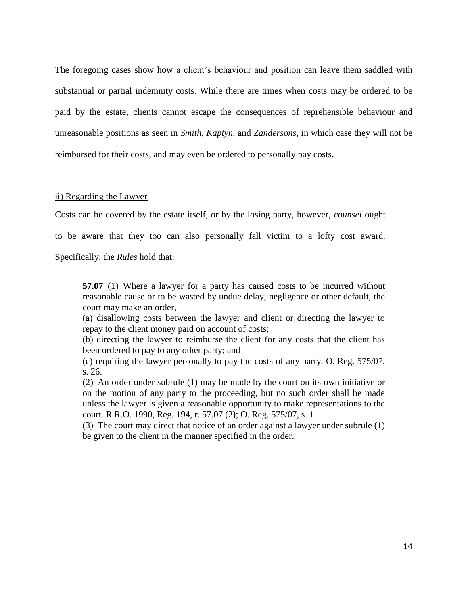The foregoing cases show how a client's behaviour and position can leave them saddled with substantial or partial indemnity costs. While there are times when costs may be ordered to be paid by the estate, clients cannot escape the consequences of reprehensible behaviour and unreasonable positions as seen in *Smith, Kaptyn,* and *Zandersons*, in which case they will not be reimbursed for their costs, and may even be ordered to personally pay costs.

#### ii) Regarding the Lawyer

Costs can be covered by the estate itself, or by the losing party, however, *counsel* ought

to be aware that they too can also personally fall victim to a lofty cost award.

Specifically, the *Rules* hold that:

**57.07** (1) Where a lawyer for a party has caused costs to be incurred without reasonable cause or to be wasted by undue delay, negligence or other default, the court may make an order,

(a) disallowing costs between the lawyer and client or directing the lawyer to repay to the client money paid on account of costs;

(b) directing the lawyer to reimburse the client for any costs that the client has been ordered to pay to any other party; and

(c) requiring the lawyer personally to pay the costs of any party. O. Reg. 575/07, s. 26.

(2) An order under subrule (1) may be made by the court on its own initiative or on the motion of any party to the proceeding, but no such order shall be made unless the lawyer is given a reasonable opportunity to make representations to the court. R.R.O. 1990, Reg. 194, r. 57.07 (2); O. Reg. 575/07, s. 1.

(3) The court may direct that notice of an order against a lawyer under subrule (1) be given to the client in the manner specified in the order.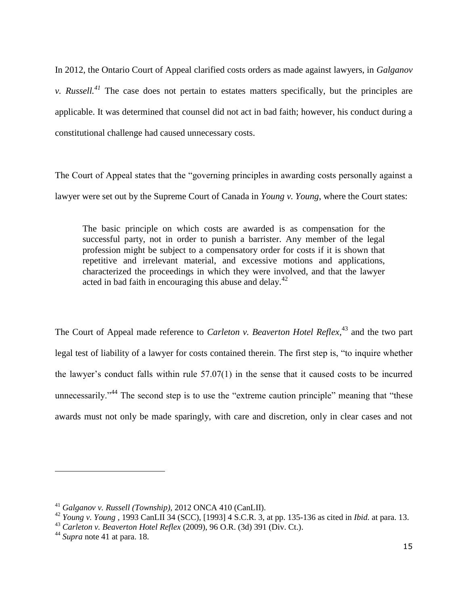In 2012, the Ontario Court of Appeal clarified costs orders as made against lawyers, in *Galganov v. Russell.*<sup>41</sup> The case does not pertain to estates matters specifically, but the principles are applicable. It was determined that counsel did not act in bad faith; however, his conduct during a constitutional challenge had caused unnecessary costs.

The Court of Appeal states that the "governing principles in awarding costs personally against a lawyer were set out by the Supreme Court of Canada in *Young v. Young*, where the Court states:

The basic principle on which costs are awarded is as compensation for the successful party, not in order to punish a barrister. Any member of the legal profession might be subject to a compensatory order for costs if it is shown that repetitive and irrelevant material, and excessive motions and applications, characterized the proceedings in which they were involved, and that the lawyer acted in bad faith in encouraging this abuse and delay.<sup>42</sup>

The Court of Appeal made reference to *Carleton v. Beaverton Hotel Reflex*, <sup>43</sup> and the two part legal test of liability of a lawyer for costs contained therein. The first step is, "to inquire whether the lawyer's conduct falls within rule 57.07(1) in the sense that it caused costs to be incurred unnecessarily."<sup>44</sup> The second step is to use the "extreme caution principle" meaning that "these awards must not only be made sparingly, with care and discretion, only in clear cases and not

<sup>41</sup> *Galganov v. Russell (Township),* 2012 ONCA 410 (CanLII).

<sup>42</sup> *Young v. Young* , 1993 CanLII 34 (SCC), [1993] 4 S.C.R. 3, at pp. 135-136 as cited in *Ibid.* at para. 13.

<sup>43</sup> *Carleton v. Beaverton Hotel Reflex* (2009), 96 O.R. (3d) 391 (Div. Ct.).

<sup>44</sup> *Supra* note 41 at para. 18.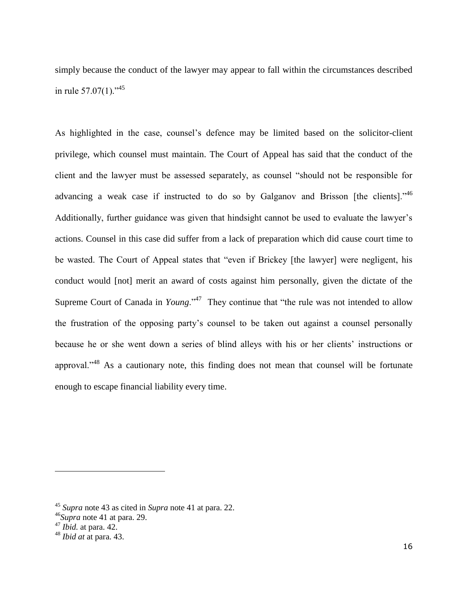simply because the conduct of the lawyer may appear to fall within the circumstances described in rule 57.07(1)."<sup>45</sup>

As highlighted in the case, counsel's defence may be limited based on the solicitor-client privilege, which counsel must maintain. The Court of Appeal has said that the conduct of the client and the lawyer must be assessed separately, as counsel "should not be responsible for advancing a weak case if instructed to do so by Galganov and Brisson [the clients].<sup> $46$ </sup> Additionally, further guidance was given that hindsight cannot be used to evaluate the lawyer's actions. Counsel in this case did suffer from a lack of preparation which did cause court time to be wasted. The Court of Appeal states that "even if Brickey [the lawyer] were negligent, his conduct would [not] merit an award of costs against him personally, given the dictate of the Supreme Court of Canada in *Young*."<sup>47</sup> They continue that "the rule was not intended to allow the frustration of the opposing party's counsel to be taken out against a counsel personally because he or she went down a series of blind alleys with his or her clients' instructions or approval."<sup>48</sup> As a cautionary note, this finding does not mean that counsel will be fortunate enough to escape financial liability every time.

<sup>45</sup> *Supra* note 43 as cited in *Supra* note 41 at para. 22.

<sup>46</sup>*Supra* note 41 at para. 29.

<sup>47</sup> *Ibid.* at para. 42.

<sup>48</sup> *Ibid at* at para. 43.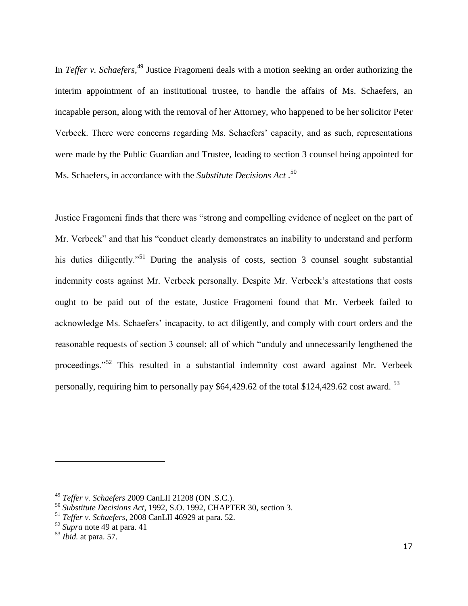In *Teffer v. Schaefers,*<sup>49</sup> Justice Fragomeni deals with a motion seeking an order authorizing the interim appointment of an institutional trustee, to handle the affairs of Ms. Schaefers, an incapable person, along with the removal of her Attorney, who happened to be her solicitor Peter Verbeek. There were concerns regarding Ms. Schaefers' capacity, and as such, representations were made by the Public Guardian and Trustee, leading to section 3 counsel being appointed for Ms. Schaefers, in accordance with the *Substitute Decisions Act* . 50

Justice Fragomeni finds that there was "strong and compelling evidence of neglect on the part of Mr. Verbeek" and that his "conduct clearly demonstrates an inability to understand and perform his duties diligently.<sup>51</sup> During the analysis of costs, section 3 counsel sought substantial indemnity costs against Mr. Verbeek personally. Despite Mr. Verbeek's attestations that costs ought to be paid out of the estate, Justice Fragomeni found that Mr. Verbeek failed to acknowledge Ms. Schaefers' incapacity, to act diligently, and comply with court orders and the reasonable requests of section 3 counsel; all of which "unduly and unnecessarily lengthened the proceedings."<sup>52</sup> This resulted in a substantial indemnity cost award against Mr. Verbeek personally, requiring him to personally pay \$64,429.62 of the total \$124,429.62 cost award. <sup>53</sup>

<sup>49</sup> *Teffer v. Schaefers* 2009 CanLII 21208 (ON .S.C.).

<sup>50</sup> *Substitute Decisions Act*, 1992, S.O. 1992, CHAPTER 30, section 3.

<sup>51</sup> *Teffer v. Schaefers*, 2008 CanLII 46929 at para. 52.

<sup>52</sup> *Supra* note 49 at para. 41

<sup>53</sup> *Ibid.* at para. 57.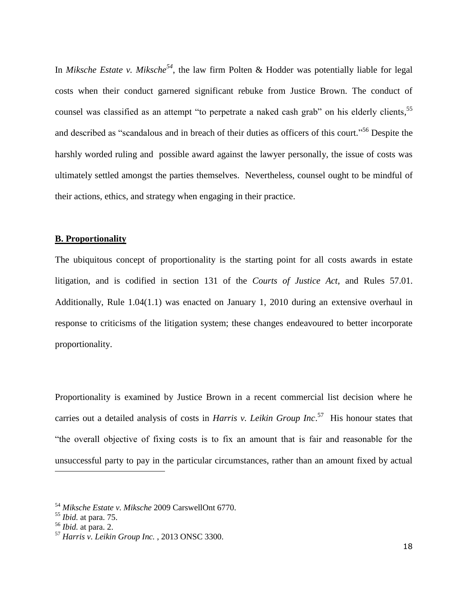In *Miksche Estate v. Miksche<sup>54</sup>*, the law firm Polten & Hodder was potentially liable for legal costs when their conduct garnered significant rebuke from Justice Brown. The conduct of counsel was classified as an attempt "to perpetrate a naked cash grab" on his elderly clients,<sup>55</sup> and described as "scandalous and in breach of their duties as officers of this court."<sup>56</sup> Despite the harshly worded ruling and possible award against the lawyer personally, the issue of costs was ultimately settled amongst the parties themselves. Nevertheless, counsel ought to be mindful of their actions, ethics, and strategy when engaging in their practice.

### **B. Proportionality**

The ubiquitous concept of proportionality is the starting point for all costs awards in estate litigation, and is codified in section 131 of the *Courts of Justice Act*, and Rules 57.01. Additionally, Rule 1.04(1.1) was enacted on January 1, 2010 during an extensive overhaul in response to criticisms of the litigation system; these changes endeavoured to better incorporate proportionality.

Proportionality is examined by Justice Brown in a recent commercial list decision where he carries out a detailed analysis of costs in *Harris v. Leikin Group Inc*. 57 His honour states that "the overall objective of fixing costs is to fix an amount that is fair and reasonable for the unsuccessful party to pay in the particular circumstances, rather than an amount fixed by actual

<sup>54</sup> *Miksche Estate v. Miksche* 2009 CarswellOnt 6770.

<sup>55</sup> *Ibid.* at para. 75.

<sup>56</sup> *Ibid.* at para. 2.

<sup>57</sup> *Harris v. Leikin Group Inc.* , 2013 ONSC 3300.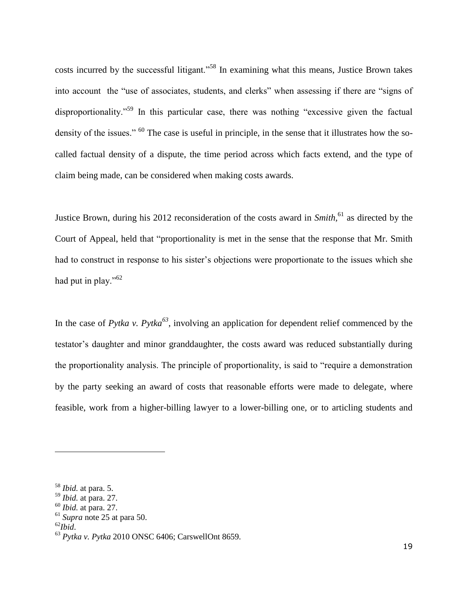costs incurred by the successful litigant."<sup>58</sup> In examining what this means, Justice Brown takes into account the "use of associates, students, and clerks" when assessing if there are "signs of disproportionality."<sup>59</sup> In this particular case, there was nothing "excessive given the factual density of the issues." <sup>60</sup> The case is useful in principle, in the sense that it illustrates how the socalled factual density of a dispute, the time period across which facts extend, and the type of claim being made, can be considered when making costs awards.

Justice Brown, during his 2012 reconsideration of the costs award in *Smith,*<sup>61</sup> as directed by the Court of Appeal, held that "proportionality is met in the sense that the response that Mr. Smith had to construct in response to his sister's objections were proportionate to the issues which she had put in play."<sup>62</sup>

In the case of *Pytka v. Pytka*<sup>63</sup>, involving an application for dependent relief commenced by the testator's daughter and minor granddaughter, the costs award was reduced substantially during the proportionality analysis. The principle of proportionality, is said to "require a demonstration by the party seeking an award of costs that reasonable efforts were made to delegate, where feasible, work from a higher-billing lawyer to a lower-billing one, or to articling students and

<sup>58</sup> *Ibid.* at para. 5.

<sup>59</sup> *Ibid.* at para. 27.

<sup>60</sup> *Ibid.* at para. 27.

<sup>61</sup> *Supra* note 25 at para 50.

<sup>62</sup>*Ibid*.

<sup>63</sup> *Pytka v. Pytka* 2010 ONSC 6406; CarswellOnt 8659.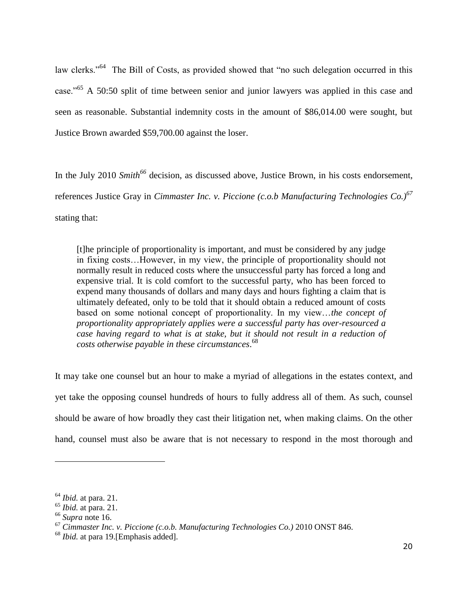law clerks."<sup>64</sup> The Bill of Costs, as provided showed that "no such delegation occurred in this case."<sup>65</sup> A 50:50 split of time between senior and junior lawyers was applied in this case and seen as reasonable. Substantial indemnity costs in the amount of \$86,014.00 were sought, but Justice Brown awarded \$59,700.00 against the loser.

In the July 2010 *Smith<sup>66</sup>* decision, as discussed above, Justice Brown, in his costs endorsement, references Justice Gray in *Cimmaster Inc. v. Piccione (c.o.b Manufacturing Technologies Co.)<sup>67</sup>* stating that:

[t]he principle of proportionality is important, and must be considered by any judge in fixing costs…However, in my view, the principle of proportionality should not normally result in reduced costs where the unsuccessful party has forced a long and expensive trial. It is cold comfort to the successful party, who has been forced to expend many thousands of dollars and many days and hours fighting a claim that is ultimately defeated, only to be told that it should obtain a reduced amount of costs based on some notional concept of proportionality. In my view…*the concept of proportionality appropriately applies were a successful party has over-resourced a case having regard to what is at stake, but it should not result in a reduction of costs otherwise payable in these circumstances*. 68

It may take one counsel but an hour to make a myriad of allegations in the estates context, and yet take the opposing counsel hundreds of hours to fully address all of them. As such, counsel should be aware of how broadly they cast their litigation net, when making claims. On the other hand, counsel must also be aware that is not necessary to respond in the most thorough and

<sup>64</sup> *Ibid.* at para. 21.

<sup>65</sup> *Ibid.* at para. 21.

<sup>66</sup> *Supra* note 16.

<sup>67</sup> *Cimmaster Inc. v. Piccione (c.o.b. Manufacturing Technologies Co.)* 2010 ONST 846.

<sup>68</sup> *Ibid.* at para 19.[Emphasis added].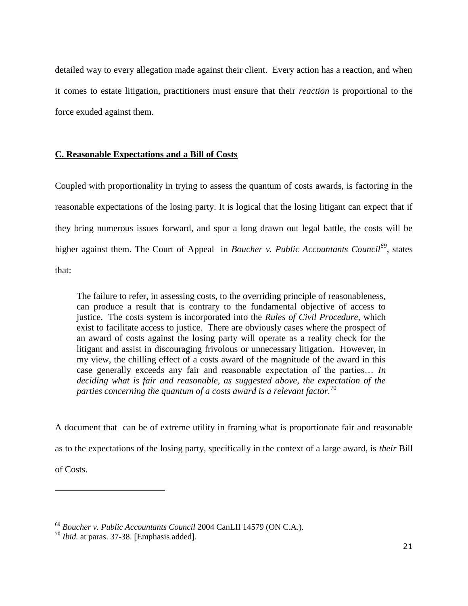detailed way to every allegation made against their client. Every action has a reaction, and when it comes to estate litigation, practitioners must ensure that their *reaction* is proportional to the force exuded against them.

## **C. Reasonable Expectations and a Bill of Costs**

Coupled with proportionality in trying to assess the quantum of costs awards, is factoring in the reasonable expectations of the losing party. It is logical that the losing litigant can expect that if they bring numerous issues forward, and spur a long drawn out legal battle, the costs will be higher against them. The Court of Appeal in *Boucher v. Public Accountants Council<sup>69</sup>*, states that:

The failure to refer, in assessing costs, to the overriding principle of reasonableness, can produce a result that is contrary to the fundamental objective of access to justice. The costs system is incorporated into the *Rules of Civil Procedure*, which exist to facilitate access to justice. There are obviously cases where the prospect of an award of costs against the losing party will operate as a reality check for the litigant and assist in discouraging frivolous or unnecessary litigation. However, in my view, the chilling effect of a costs award of the magnitude of the award in this case generally exceeds any fair and reasonable expectation of the parties… *In deciding what is fair and reasonable, as suggested above, the expectation of the parties concerning the quantum of a costs award is a relevant factor.*<sup>70</sup>

A document that can be of extreme utility in framing what is proportionate fair and reasonable as to the expectations of the losing party, specifically in the context of a large award, is *their* Bill of Costs.

<sup>69</sup> *Boucher v. Public Accountants Council* 2004 CanLII 14579 (ON C.A.).

<sup>70</sup> *Ibid.* at paras. 37-38. [Emphasis added].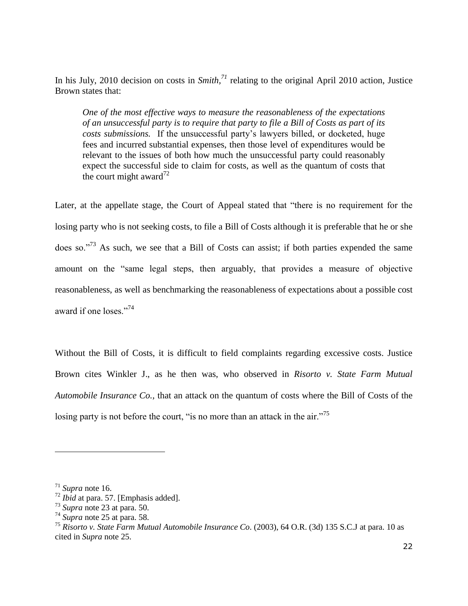In his July, 2010 decision on costs in *Smith,<sup>71</sup>* relating to the original April 2010 action, Justice Brown states that:

*One of the most effective ways to measure the reasonableness of the expectations of an unsuccessful party is to require that party to file a Bill of Costs as part of its costs submissions.* If the unsuccessful party's lawyers billed, or docketed, huge fees and incurred substantial expenses, then those level of expenditures would be relevant to the issues of both how much the unsuccessful party could reasonably expect the successful side to claim for costs, as well as the quantum of costs that the court might award<sup>72</sup>

Later, at the appellate stage, the Court of Appeal stated that "there is no requirement for the losing party who is not seeking costs, to file a Bill of Costs although it is preferable that he or she does so."<sup>73</sup> As such, we see that a Bill of Costs can assist; if both parties expended the same amount on the "same legal steps, then arguably, that provides a measure of objective reasonableness, as well as benchmarking the reasonableness of expectations about a possible cost award if one loses."<sup>74</sup>

Without the Bill of Costs, it is difficult to field complaints regarding excessive costs. Justice Brown cites Winkler J., as he then was, who observed in *Risorto v. State Farm Mutual Automobile Insurance Co.,* that an attack on the quantum of costs where the Bill of Costs of the losing party is not before the court, "is no more than an attack in the air."<sup>75</sup>

<sup>71</sup> *Supra* note 16.

<sup>72</sup> *Ibid* at para. 57. [Emphasis added].

<sup>73</sup> *Supra* note 23 at para. 50.

<sup>74</sup> *Supra* note 25 at para. 58.

<sup>75</sup> *Risorto v. State Farm Mutual Automobile Insurance Co*. (2003), 64 O.R. (3d) 135 S.C.J at para. 10 as cited in *Supra* note 25.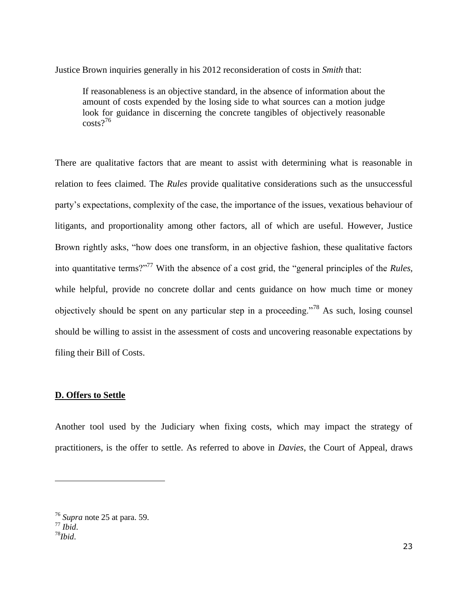Justice Brown inquiries generally in his 2012 reconsideration of costs in *Smith* that:

If reasonableness is an objective standard, in the absence of information about the amount of costs expended by the losing side to what sources can a motion judge look for guidance in discerning the concrete tangibles of objectively reasonable costs? 76

There are qualitative factors that are meant to assist with determining what is reasonable in relation to fees claimed. The *Rules* provide qualitative considerations such as the unsuccessful party's expectations, complexity of the case, the importance of the issues, vexatious behaviour of litigants, and proportionality among other factors, all of which are useful. However, Justice Brown rightly asks, "how does one transform, in an objective fashion, these qualitative factors into quantitative terms?"<sup>77</sup> With the absence of a cost grid, the "general principles of the *Rules,*  while helpful, provide no concrete dollar and cents guidance on how much time or money objectively should be spent on any particular step in a proceeding."<sup>78</sup> As such, losing counsel should be willing to assist in the assessment of costs and uncovering reasonable expectations by filing their Bill of Costs.

## **D. Offers to Settle**

Another tool used by the Judiciary when fixing costs, which may impact the strategy of practitioners, is the offer to settle. As referred to above in *Davies*, the Court of Appeal, draws

<sup>76</sup> *Supra* note 25 at para. 59. <sup>77</sup> *Ibid*. <sup>78</sup>*Ibid*.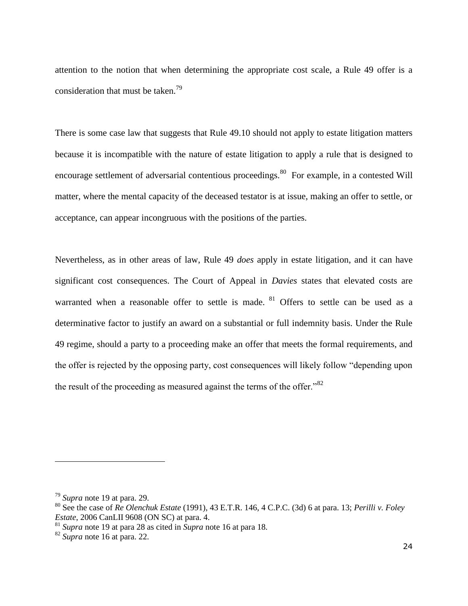attention to the notion that when determining the appropriate cost scale, a Rule 49 offer is a consideration that must be taken.<sup>79</sup>

There is some case law that suggests that Rule 49.10 should not apply to estate litigation matters because it is incompatible with the nature of estate litigation to apply a rule that is designed to encourage settlement of adversarial contentious proceedings.<sup>80</sup> For example, in a contested Will matter, where the mental capacity of the deceased testator is at issue, making an offer to settle, or acceptance, can appear incongruous with the positions of the parties.

Nevertheless, as in other areas of law, Rule 49 *does* apply in estate litigation, and it can have significant cost consequences. The Court of Appeal in *Davies* states that elevated costs are warranted when a reasonable offer to settle is made. <sup>81</sup> Offers to settle can be used as a determinative factor to justify an award on a substantial or full indemnity basis. Under the Rule 49 regime, should a party to a proceeding make an offer that meets the formal requirements, and the offer is rejected by the opposing party, cost consequences will likely follow "depending upon the result of the proceeding as measured against the terms of the offer.<sup>82</sup>

<sup>79</sup> *Supra* note 19 at para. 29.

<sup>80</sup> See the case of *Re Olenchuk Estate* (1991), 43 E.T.R. 146, 4 C.P.C. (3d) 6 at para. 13; *Perilli v. Foley Estate*, 2006 CanLII 9608 (ON SC) at para. 4.

<sup>81</sup> *Supra* note 19 at para 28 as cited in *Supra* note 16 at para 18.

<sup>82</sup> *Supra* note 16 at para. 22.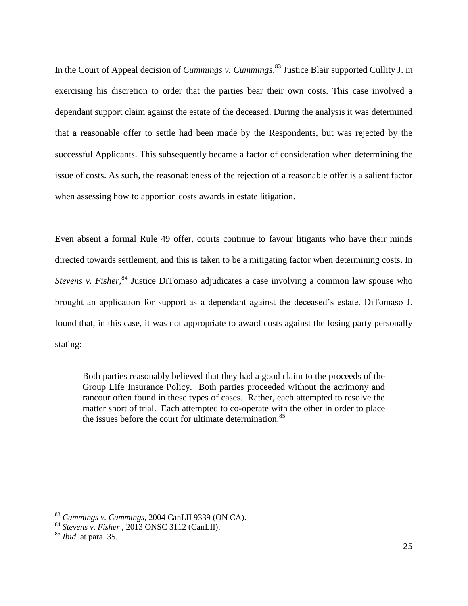In the Court of Appeal decision of *Cummings v. Cummings*, <sup>83</sup> Justice Blair supported Cullity J. in exercising his discretion to order that the parties bear their own costs. This case involved a dependant support claim against the estate of the deceased. During the analysis it was determined that a reasonable offer to settle had been made by the Respondents, but was rejected by the successful Applicants. This subsequently became a factor of consideration when determining the issue of costs. As such, the reasonableness of the rejection of a reasonable offer is a salient factor when assessing how to apportion costs awards in estate litigation.

Even absent a formal Rule 49 offer, courts continue to favour litigants who have their minds directed towards settlement, and this is taken to be a mitigating factor when determining costs. In *Stevens v. Fisher*,<sup>84</sup> Justice DiTomaso adjudicates a case involving a common law spouse who brought an application for support as a dependant against the deceased's estate. DiTomaso J. found that, in this case, it was not appropriate to award costs against the losing party personally stating:

Both parties reasonably believed that they had a good claim to the proceeds of the Group Life Insurance Policy. Both parties proceeded without the acrimony and rancour often found in these types of cases. Rather, each attempted to resolve the matter short of trial. Each attempted to co-operate with the other in order to place the issues before the court for ultimate determination.<sup>85</sup>

<sup>83</sup> *Cummings v. Cummings*, 2004 CanLII 9339 (ON CA).

<sup>84</sup> *Stevens v. Fisher* , 2013 ONSC 3112 (CanLII).

<sup>85</sup> *Ibid.* at para. 35.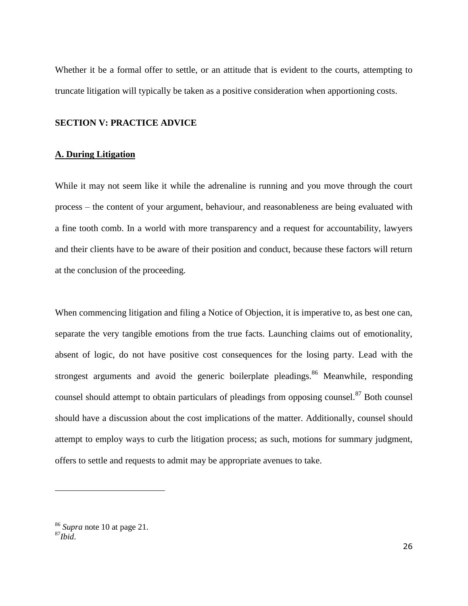Whether it be a formal offer to settle, or an attitude that is evident to the courts, attempting to truncate litigation will typically be taken as a positive consideration when apportioning costs.

## **SECTION V: PRACTICE ADVICE**

### **A. During Litigation**

While it may not seem like it while the adrenaline is running and you move through the court process – the content of your argument, behaviour, and reasonableness are being evaluated with a fine tooth comb. In a world with more transparency and a request for accountability, lawyers and their clients have to be aware of their position and conduct, because these factors will return at the conclusion of the proceeding.

When commencing litigation and filing a Notice of Objection, it is imperative to, as best one can, separate the very tangible emotions from the true facts. Launching claims out of emotionality, absent of logic, do not have positive cost consequences for the losing party. Lead with the strongest arguments and avoid the generic boilerplate pleadings.<sup>86</sup> Meanwhile, responding counsel should attempt to obtain particulars of pleadings from opposing counsel.<sup>87</sup> Both counsel should have a discussion about the cost implications of the matter. Additionally, counsel should attempt to employ ways to curb the litigation process; as such, motions for summary judgment, offers to settle and requests to admit may be appropriate avenues to take.

<sup>86</sup> *Supra* note 10 at page 21.  $^{87}$ *Ibid.*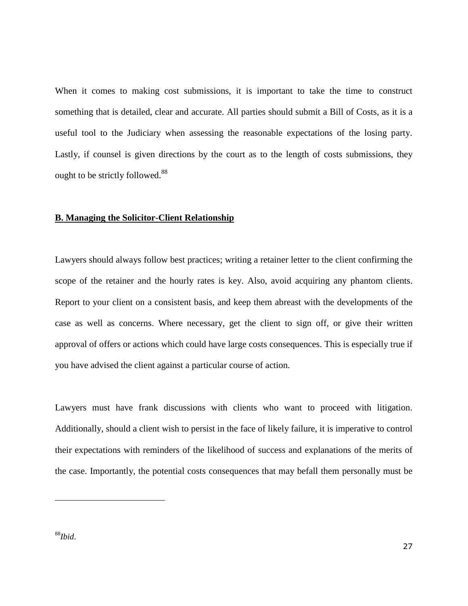When it comes to making cost submissions, it is important to take the time to construct something that is detailed, clear and accurate. All parties should submit a Bill of Costs, as it is a useful tool to the Judiciary when assessing the reasonable expectations of the losing party. Lastly, if counsel is given directions by the court as to the length of costs submissions, they ought to be strictly followed.<sup>88</sup>

#### **B. Managing the Solicitor-Client Relationship**

Lawyers should always follow best practices; writing a retainer letter to the client confirming the scope of the retainer and the hourly rates is key. Also, avoid acquiring any phantom clients. Report to your client on a consistent basis, and keep them abreast with the developments of the case as well as concerns. Where necessary, get the client to sign off, or give their written approval of offers or actions which could have large costs consequences. This is especially true if you have advised the client against a particular course of action.

Lawyers must have frank discussions with clients who want to proceed with litigation. Additionally, should a client wish to persist in the face of likely failure, it is imperative to control their expectations with reminders of the likelihood of success and explanations of the merits of the case. Importantly, the potential costs consequences that may befall them personally must be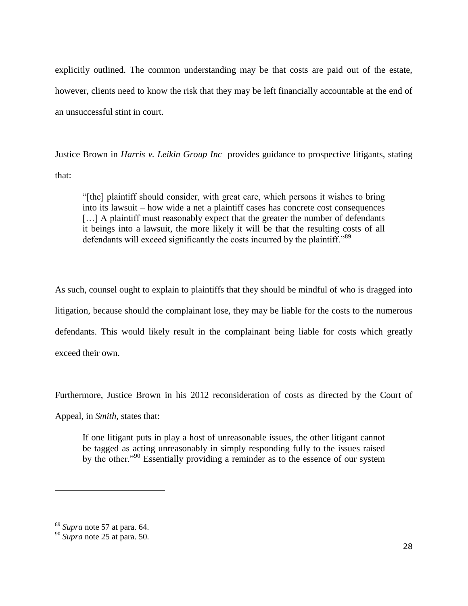explicitly outlined. The common understanding may be that costs are paid out of the estate, however, clients need to know the risk that they may be left financially accountable at the end of an unsuccessful stint in court.

Justice Brown in *Harris v. Leikin Group Inc* provides guidance to prospective litigants, stating that:

"[the] plaintiff should consider, with great care, which persons it wishes to bring into its lawsuit – how wide a net a plaintiff cases has concrete cost consequences [...] A plaintiff must reasonably expect that the greater the number of defendants it beings into a lawsuit, the more likely it will be that the resulting costs of all defendants will exceed significantly the costs incurred by the plaintiff."<sup>89</sup>

As such, counsel ought to explain to plaintiffs that they should be mindful of who is dragged into litigation, because should the complainant lose, they may be liable for the costs to the numerous defendants. This would likely result in the complainant being liable for costs which greatly exceed their own.

Furthermore, Justice Brown in his 2012 reconsideration of costs as directed by the Court of Appeal, in *Smith*, states that:

If one litigant puts in play a host of unreasonable issues, the other litigant cannot be tagged as acting unreasonably in simply responding fully to the issues raised by the other."<sup>90</sup> Essentially providing a reminder as to the essence of our system

<sup>89</sup> *Supra* note 57 at para. 64.

<sup>90</sup> *Supra* note 25 at para. 50.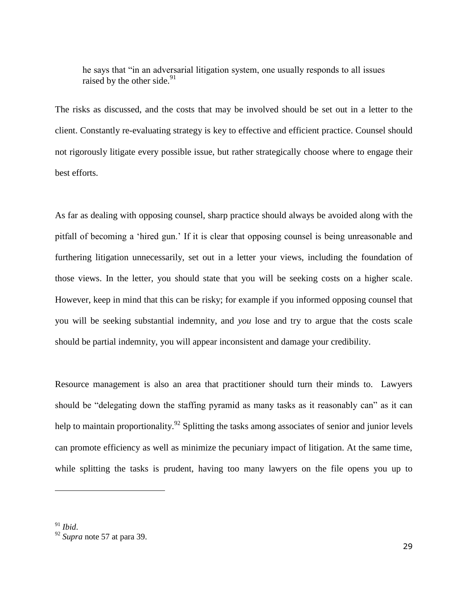he says that "in an adversarial litigation system, one usually responds to all issues raised by the other side. $91$ 

The risks as discussed, and the costs that may be involved should be set out in a letter to the client. Constantly re-evaluating strategy is key to effective and efficient practice. Counsel should not rigorously litigate every possible issue, but rather strategically choose where to engage their best efforts.

As far as dealing with opposing counsel, sharp practice should always be avoided along with the pitfall of becoming a 'hired gun.' If it is clear that opposing counsel is being unreasonable and furthering litigation unnecessarily, set out in a letter your views, including the foundation of those views. In the letter, you should state that you will be seeking costs on a higher scale. However, keep in mind that this can be risky; for example if you informed opposing counsel that you will be seeking substantial indemnity, and *you* lose and try to argue that the costs scale should be partial indemnity, you will appear inconsistent and damage your credibility.

Resource management is also an area that practitioner should turn their minds to. Lawyers should be "delegating down the staffing pyramid as many tasks as it reasonably can" as it can help to maintain proportionality.<sup>92</sup> Splitting the tasks among associates of senior and junior levels can promote efficiency as well as minimize the pecuniary impact of litigation. At the same time, while splitting the tasks is prudent, having too many lawyers on the file opens you up to

<sup>92</sup> *Supra* note 57 at para 39.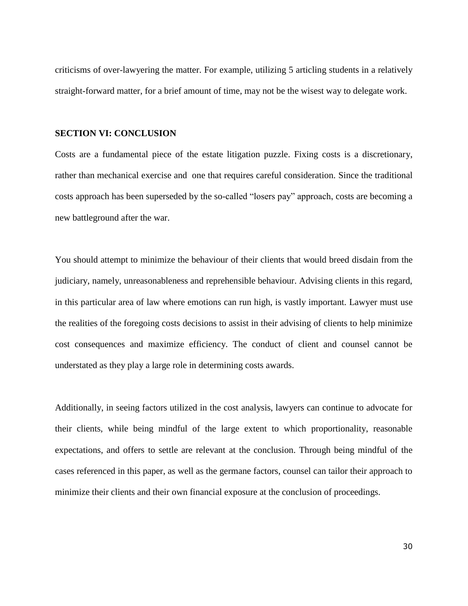criticisms of over-lawyering the matter. For example, utilizing 5 articling students in a relatively straight-forward matter, for a brief amount of time, may not be the wisest way to delegate work.

#### **SECTION VI: CONCLUSION**

Costs are a fundamental piece of the estate litigation puzzle. Fixing costs is a discretionary, rather than mechanical exercise and one that requires careful consideration. Since the traditional costs approach has been superseded by the so-called "losers pay" approach, costs are becoming a new battleground after the war.

You should attempt to minimize the behaviour of their clients that would breed disdain from the judiciary, namely, unreasonableness and reprehensible behaviour. Advising clients in this regard, in this particular area of law where emotions can run high, is vastly important. Lawyer must use the realities of the foregoing costs decisions to assist in their advising of clients to help minimize cost consequences and maximize efficiency. The conduct of client and counsel cannot be understated as they play a large role in determining costs awards.

Additionally, in seeing factors utilized in the cost analysis, lawyers can continue to advocate for their clients, while being mindful of the large extent to which proportionality, reasonable expectations, and offers to settle are relevant at the conclusion. Through being mindful of the cases referenced in this paper, as well as the germane factors, counsel can tailor their approach to minimize their clients and their own financial exposure at the conclusion of proceedings.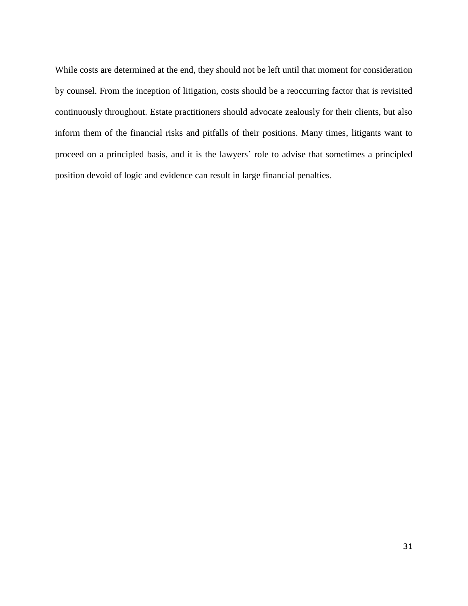While costs are determined at the end, they should not be left until that moment for consideration by counsel. From the inception of litigation, costs should be a reoccurring factor that is revisited continuously throughout. Estate practitioners should advocate zealously for their clients, but also inform them of the financial risks and pitfalls of their positions. Many times, litigants want to proceed on a principled basis, and it is the lawyers' role to advise that sometimes a principled position devoid of logic and evidence can result in large financial penalties.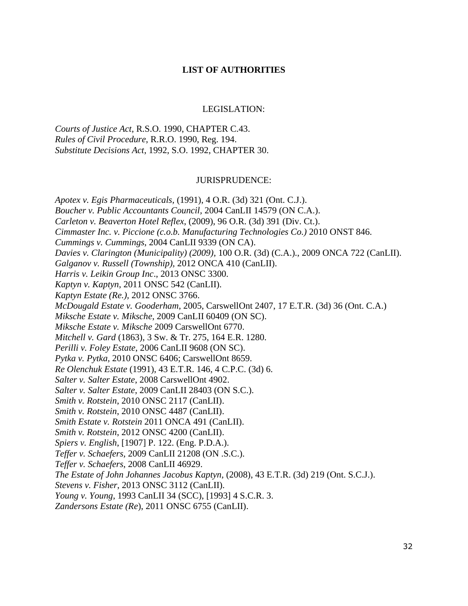## **LIST OF AUTHORITIES**

## LEGISLATION:

*Courts of Justice Act*, R.S.O. 1990, CHAPTER C.43. *Rules of Civil Procedure*, R.R.O. 1990, Reg. 194. *Substitute Decisions Act*, 1992, S.O. 1992, CHAPTER 30.

## JURISPRUDENCE:

*Apotex v. Egis Pharmaceuticals,* (1991), 4 O.R. (3d) 321 (Ont. C.J.). *Boucher v. Public Accountants Council,* 2004 CanLII 14579 (ON C.A.). *Carleton v. Beaverton Hotel Reflex*, (2009), 96 O.R. (3d) 391 (Div. Ct.). *Cimmaster Inc. v. Piccione (c.o.b. Manufacturing Technologies Co.)* 2010 ONST 846. *Cummings v. Cummings*, 2004 CanLII 9339 (ON CA). *Davies v. Clarington (Municipality) (2009),* 100 O.R. (3d) (C.A.)., 2009 ONCA 722 (CanLII). *Galganov v. Russell (Township),* 2012 ONCA 410 (CanLII). *Harris v. Leikin Group Inc*., 2013 ONSC 3300. *Kaptyn v. Kaptyn*, 2011 ONSC 542 (CanLII). *Kaptyn Estate (Re.),* 2012 ONSC 3766. *McDougald Estate v. Gooderham*, 2005, CarswellOnt 2407, 17 E.T.R. (3d) 36 (Ont. C.A.) *Miksche Estate v. Miksche*, 2009 CanLII 60409 (ON SC). *Miksche Estate v. Miksche* 2009 CarswellOnt 6770. *Mitchell v. Gard* (1863), 3 Sw. & Tr. 275, 164 E.R. 1280. *Perilli v. Foley Estate*, 2006 CanLII 9608 (ON SC). *Pytka v. Pytka,* 2010 ONSC 6406; CarswellOnt 8659. *Re Olenchuk Estate* (1991), 43 E.T.R. 146, 4 C.P.C. (3d) 6. *Salter v. Salter Estate*, 2008 CarswellOnt 4902. *Salter v. Salter Estate*, 2009 CanLII 28403 (ON S.C.). *Smith v. Rotstein*, 2010 ONSC 2117 (CanLII). *Smith v. Rotstein*, 2010 ONSC 4487 (CanLII). *Smith Estate v. Rotstein* 2011 ONCA 491 (CanLII). *Smith v. Rotstein*, 2012 ONSC 4200 (CanLII). *Spiers v. English*, [1907] P. 122. (Eng. P.D.A.). *Teffer v. Schaefers,* 2009 CanLII 21208 (ON .S.C.). *Teffer v. Schaefers*, 2008 CanLII 46929. *The Estate of John Johannes Jacobus Kaptyn,* (2008), 43 E.T.R. (3d) 219 (Ont. S.C.J.). *Stevens v. Fisher*, 2013 ONSC 3112 (CanLII). *Young v. Young*, 1993 CanLII 34 (SCC), [1993] 4 S.C.R. 3. *Zandersons Estate (Re*), 2011 ONSC 6755 (CanLII).